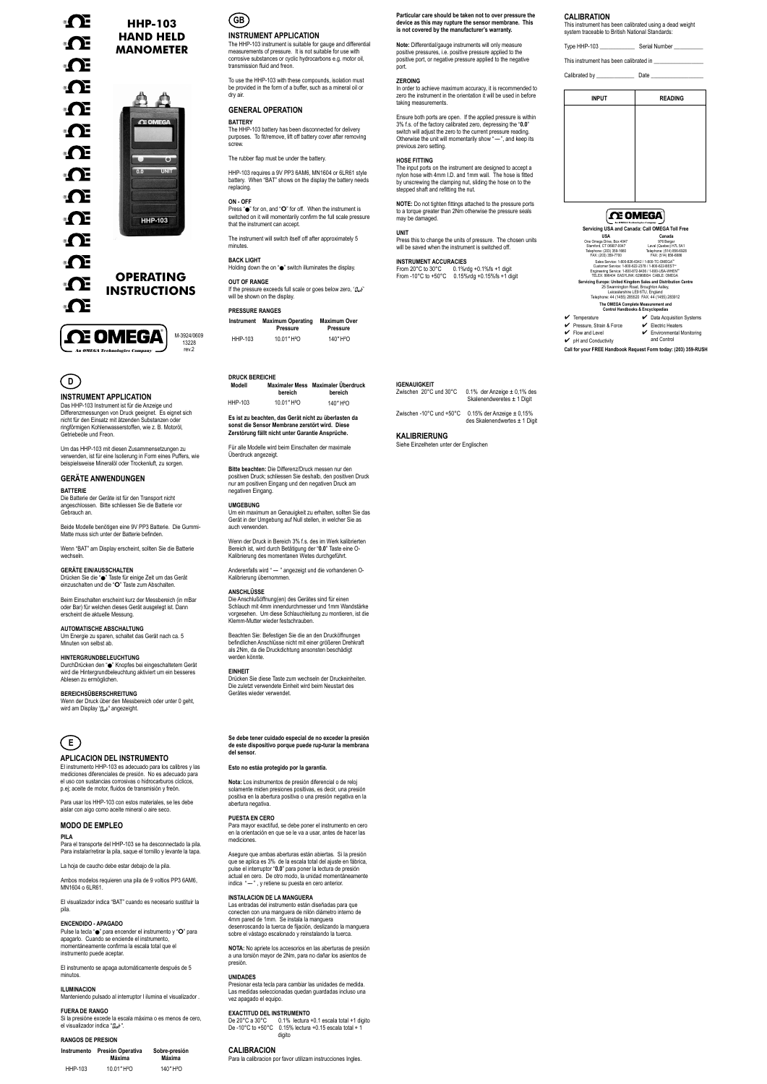# ® OE ® ® OF **OF** ®∩E **OF ® ® ®**

**®** 

**OF** 

**OF** 

®OE

® ∩E



#### **INSTRUMENT APPLICATION**

The HHP-103 instrument is suitable for gauge and differential measurements of pressure. It is not suitable for use with corrosive substances or cyclic hydrocarbons e.g. motor oil, transmission fluid and freon.

To use the HHP-103 with these compounds, isolation must be provided in the form of a buffer, such as a mineral oil or dry air.

In order to achieve maximum accuracy, it is recommended to zero the instrument in the orientation it will be used in before taking measurements.

**Particular care should be taken not to over pressure the device as this may rupture the sensor membrane. This is not covered by the manufacturer's warranty.**

The input ports on the instrument are designed to accept a nylon hose with 4mm I.D. and 1mm wall. The hose is fitted by unscrewing the clamping nut, sliding the hose on to the stepped shaft and refitting the nut.

**Note:** Differential/gauge instruments will only measure positive pressures, i.e. positive pressure applied to the positive port, or negative pressure applied to the negative port.

#### **ZEROING**

Press this to change the units of pressure. The chosen units will be saved when the instrument is switched off.

Ensure both ports are open. If the applied pressure is within 3% f.s. of the factory calibrated zero, depressing the "**0.0**" switch will adjust the zero to the current pressure reading. Otherwise the unit will momentarily show "-", and keep its previous zero setting.

#### **HOSE FITTING**

#### **GENERAL OPERATION BATTERY**

#### **OUT OF RANGE** If the pressure exceeds full scale or goes below zero, " $g_{\mu}$ " will be shown on the display

An OMEGA Technologies Company **Servicing USA and Canada: Call OMEGA Toll Free Servicing Europe: United Kingdom Sales and Distribution Centre**<br>25 Swannington Road, Broughton Astley,<br>Leicestershire LE9 6TU, England<br>Telephone: 44 (1455) 285520 FAX: 44 (1455) 283912 **USA**<br>
One Omega Drive, Box 4047<br>
Stamford, CT 06907-0047<br>
Telephone: (203) 359-1660<br>
FAX: (203) 359-7700 Sales Service: 1-800-826-6342 / 1-800-TC-OMEGA<sup>24</sup><br>Customer Service: 1-800-622-2378 / 1-800-622-BEST<sup>24</sup><br>Engineering Service: 1-800-872-9436 / 1-800-USA-WHEN<sup>3</sup><br>TELEX: 996404 EASYLINK: 62968934 CABLE: OMEGA \‴<br>:т≈ **Canada**<br>
976 Bergar<br>
Laval (Quebec) H7L 5A1<br>
Telephone: (514) 856-6928<br>
FAX: (514) 856-6886

**NOTE:** Do not tighten fittings attached to the pressure ports to a torque greater than 2Nm otherwise the pressure seals may be damaged.

**UNIT**

**INSTRUMENT ACCURACIES** From 20°C to 30°C 0.1%rdg +0.1%fs +1 digit From -10°C to +50°C 0.15%rdg +0.15%fs +1 digit

- 4 Temperature 4 Pressure, Strain & Force  $\triangleright$  Data Acquisition Systems 4 Electric Heaters ■ Data Acquisition Systems<br>■ Electric Heaters<br>■ Environmental Monitoring
- $\blacktriangleright$  Flow and Leve

# **CALIBRATION**

This instrument has been calibrated using a dead weight system traceable to British National Standards:

 $\mathcal V$  pH and Conductivity and Control

| Type HHP-103                           | Serial Number |
|----------------------------------------|---------------|
| This instrument has been calibrated in |               |

Calibrated by Date

The HHP-103 battery has been disconnected for delivery purposes. To fit/remove, lift off battery cover after removing screw.

The rubber flap must be under the battery.

HHP-103 requires a 9V PP3 6AM6, MN1604 or 6LR61 style battery. When "BAT" shows on the display the battery needs replacing.

ür alle Modelle wird beim Einschalten der maximale Überdruck angezeigt.

#### **ON - OFF**

Press " $\bullet$ " for on, and "O" for off. When the instrument is switched on it will momentarily confirm the full scale pressure that the instrument can accept

The instrument will switch itself off after approximately 5 minutes.

#### **BACK LIGHT**

Holding down the on " $\bullet$ " switch illuminates the display.

Anderenfalls wird " -- " angezeigt und die vorhandenen O-Kalibrierung übernommen.

**PRESSURE RANGES**



| <b>INPUT</b> | <b>READING</b> |  |
|--------------|----------------|--|
|              |                |  |
|              |                |  |
|              |                |  |
|              |                |  |
|              |                |  |
|              |                |  |
|              |                |  |
|              |                |  |

## **CE OMEGA**

**The OMEGA Complete Measurement and Control Handbooks & Encyclopedias**

DurchDrücken den "●" Knopfes bei eingeschaltetem Gerät wird die Hintergrundbeleuchtung aktiviert um ein besseres Ablesen zu ermöglichen.

Wenn der Druck über den Messbereich oder unter 0 geht, wird am Display " $g_{\mu\nu}$ " angezeight.

**Call for your FREE Handbook Request Form today: (203) 359-RUSH**



rev.2

**OPERATING INSTRUCTIONS**

**HHP-103 HAND HELD MANOMETER**

| 1100001111011010 |                                      |                                 |  |
|------------------|--------------------------------------|---------------------------------|--|
| Instrument       | <b>Maximum Operating</b><br>Pressure | <b>Maximum Over</b><br>Pressure |  |
| HHP-103          | 10.01" H <sup>2</sup> O              | 140" H <sup>2</sup> O           |  |

Asegure que ambas aberturas están abiertas. Si la presión que se aplica es 3% de la escala total del ajuste en fábrica, pulse el interruptor "**0.0**" para poner la lectura de presión actual en cero. De otro modo, la unidad momentáneamente indica  $-$ ".  $\nu$  retiene su puesta en cero anterior.



### **INSTRUMENT APPLICATION**

Das HHP-103 Instrument ist für die Anzeige und Differenzmessungen von Druck geeignet. Es eignet sich nicht für den Einsatz mit ätzenden Substanzen oder ringförmigen Kohlenwasserstoffen, wie z. B. Motoröl, Getriebeöle und Freon.

Um das HHP-103 mit diesen Zusammensetzungen zu verwenden, ist für eine Isolierung in Form eines Puffers, wie beispielsweise Mineralöl oder Trockenluft, zu sorgen.

# **GERÄTE ANWENDUNGEN**

**Es ist zu beachten, das Gerät nicht zu überlasten da sonst die Sensor Membrane zerstört wird. Diese Zerstörung fällt nicht unter Garantie Ansprüche.**

**Bitte beachten:** Die Differenz/Druck messen nur den positiven Druck; schliessen Sie deshalb, den positiven Druck nur am positiven Eingang und den negativen Druck am negativen Eingang.

Pulse la tecla " $\bullet$ " para encender el instrumento y "O" para apagarlo. Cuando se enciende el instrumento, momentáneamente confirma la escala total que el instrumento puede aceptar.

#### **UMGEBUNG**

Si la presióne excede la escala máxima o es menos de cero, el visualizador indica " $\partial u^*$ "

Um ein maximum an Genauigkeit zu erhalten, sollten Sie das Gerät in der Umgebung auf Null stellen, in welcher Sie as auch verwenden.

Wenn der Druck in Bereich 3% f.s. des im Werk kalibrierten Bereich ist, wird durch Betätigung der "**0.0**" Taste eine O-Kalibrierung des momentanen Wetes durchgeführt.

#### **ANSCHLÜSSE**

Die Anschlußöffnung(en) des Gerätes sind für einen Schlauch mit 4mm innendurchmesser und 1mm Wandstärke vorgesehen. Um diese Schlauchleitung zu montieren, ist die Klemm-Mutter wieder festschrauben.

Beachten Sie: Befestigen Sie die an den Drucköffnungen befindlichen Anschlüsse nicht mit einer größeren Drehkraft als 2Nm, da die Druckdichtung ansonsten beschädigt werden könnte.

#### **EINHEIT**

Drücken Sie diese Taste zum wechseln der Druckeinheiten. Die zuletzt verwendete Einheit wird beim Neustart des Gerätes wieder verwendet.

### **DRUCK BEREICHE**

**BATTERIE** Die Batterie der Geräte ist für den Transport nicht angeschlossen. Bitte schliessen Sie die Batterie vor Gebrauch an.

Beide Modelle benötigen eine 9V PP3 Batterie. Die Gummi-Matte muss sich unter der Batterie befinden.

Wenn "BAT" am Display erscheint, sollten Sie die Batterie wechseln.

**GERÄTE EIN/AUSSCHALTEN** Drücken Sie die "· Taste für einige Zeit um das Gerät einzuschalten und die "O" Taste zum Abschalten.

Beim Einschalten erscheint kurz der Messbereich (in mBar oder Bar) für welchen dieses Gerät ausgelegt ist. Dann erscheint die aktuelle Messung.

#### **AUTOMATISCHE ABSCHALTUNG**

Um Energie zu sparen, schaltet das Gerät nach ca. 5 Minuten von selbst ab.

#### **HINTERGRUNDBELEUCHTUNG**

#### **BEREICHSÜBERSCHREITUNG**

| Modell  | bereich                 | Maximaler Mess Maximaler Überdruck<br>bereich |
|---------|-------------------------|-----------------------------------------------|
| HHP-103 | 10.01" H <sup>2</sup> O | 140" H <sup>2</sup> O                         |

### **IGENAUIGKEIT**

| Zwischen 20°C und 30°C | 0.1% der Anzeige $\pm$ 0,1% des<br>Skalenendweretes $\pm$ 1 Digit |
|------------------------|-------------------------------------------------------------------|
|------------------------|-------------------------------------------------------------------|

Zwischen -10°C und +50°C 0.15% der Anzeige ± 0,15% des Skalenendwertes ± 1 Digit

### **KALIBRIERUNG**

Siehe Einzelheten unter der Englischen

# **E**

**APLICACION DEL INSTRUMENTO**

El instrumento HHP-103 es adecuado para los calibres y las mediciones diferenciales de presión. No es adecuado para el uso con sustancias corrosivas o hidrocarburos cíclicos, p.ej; aceite de motor, fluidos de transmisión y freón.

Para usar los HHP-103 con estos materiales, se les debe aislar con aigo como aceite mineral o aire seco.

### **MODO DE EMPLEO**

**Se debe tener cuidado especial de no exceder la presión de este dispositivo porque puede rup-turar la membrana del sensor.**

#### **Esto no estáa protegido por la garantia.**

**Nota:** Los instrumentos de presión diferencial o de reloj solamente miden presiones positivas, es decir, una presión positiva en la abertura positiva o una presión negativa en la abertura negativa.

**PUESTA EN CERO** Para mayor exactifud, se debe poner el instrumento en cero en la orientación en que se le va a usar, antes de hacer las mediciones.

#### **INSTALACION DE LA MANGUERA**

Las entradas del instrumento están diseñadas para que conecten con una manguera de nilón diámetro interno de 4mm pared de 1mm. Se instala la manguera desenroscando la tuerca de fijación, deslizando la manguera sobre el vástago escalonado y reinstalando la tuerca.

**NOTA:** No apriete los accesorios en las aberturas de presión a una torsión mayor de 2Nm, para no dañar los asientos de presión.

#### **UNIDADES**

Presionar esta tecla para cambiar las unidades de medida. Las medidas seleccionadas quedan guardadas incluso una vez apagado el equipo.

#### **EXACTITUD DEL INSTRUMENTO**

De 20°C a 30°C 0.1% lectura +0.1 escala total +1 digito De -10°C to +50°C 0.15% lectura +0.15 escala total + 1 digito

#### **CALIBRACION**

Para la calibracion por favor utilizam instrucciones Ingles.

#### **PILA**

Para el transporte del HHP-103 se ha desconnectado la pila. Para instalar/retirar la pila, saque el tornillo y levante la tapa.

La hoja de caucho debe estar debajo de la pila.

Ambos modelos requieren una pila de 9 voltios PP3 6AM6, MN1604 o 6LR61.

El visualizador indica "BAT" cuando es necesario sustituir la pila.

#### **ENCENDIDO - APAGADO**

El instrumento se apaga automáticamente después de 5 minutos.

#### **ILUMINACION**

Manteniendo pulsado al interruptor l ilumina el visualizador .

#### **FUERA DE RANGO**

#### **RANGOS DE PRESION**

| Instrumento | Presión Operativa<br>Máxima | Sobre-presión<br>Máxima |
|-------------|-----------------------------|-------------------------|
| HHP-103     | 10.01" H <sup>2</sup> O     | 140" H <sup>2</sup> O   |